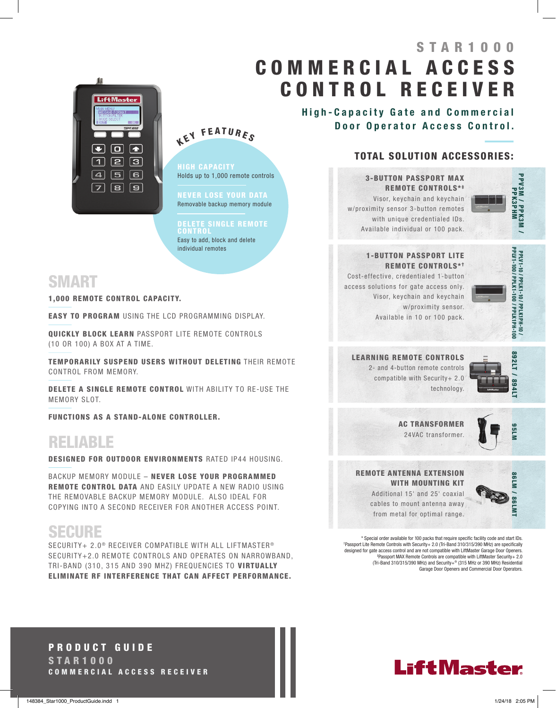# STAR1000 C O M M E R C I A L A C C E S S CONTROL RECEIVER



KEY FEATURES

HIGH CAPACITY Holds up to 1,000 remote controls

NEVER LOSE YOUR DATA Removable backup memory module

#### DELETE SINGLE REMOTE

CONTROL Easy to add, block and delete individual remotes

### SMART

1,000 REMOTE CONTROL CAPACITY.

EASY TO PROGRAM USING THE LCD PROGRAMMING DISPLAY.

QUICKLY BLOCK LEARN PASSPORT LITE REMOTE CONTROLS (10 OR 100) A BOX AT A TIME.

TEMPORARILY SUSPEND USERS WITHOUT DELETING THEIR REMOTE CONTROL FROM MEMORY.

DELETE A SINGLE REMOTE CONTROL WITH ABILITY TO RE-USE THE MEMORY SLOT.

FUNCTIONS AS A STAND-ALONE CONTROLLER.

# RELIABLE

DESIGNED FOR OUTDOOR ENVIRONMENTS RATED IP44 HOUSING.

BACKUP MEMORY MODULE – NEVER LOSE YOUR PROGRAMMED REMOTE CONTROL DATA AND EASILY UPDATE A NEW RADIO USING THE REMOVABLE BACKUP MEMORY MODULE. ALSO IDEAL FOR COPYING INTO A SECOND RECEIVER FOR ANOTHER ACCESS POINT.

## SECURE

SECURITY+ 2.0<sup>®</sup> RECEIVER COMPATIBLE WITH ALL LIFTMASTER<sup>®</sup> SECURITY+2.0 REMOTE CONTROLS AND OPERATES ON NARROWBAND, TRI-BAND (310, 315 AND 390 MHZ) FREQUENCIES TO VIRTUALLY ELIMINATE RF INTERFERENCE THAT CAN AFFECT PERFORMANCE.

High-Capacity Gate and Commercial Door Operator Access Control.

#### TOTAL SOLUTION ACCESSORIES:

3-BUTTON PASSPORT MAX REMOTE CONTROLS\*\* Visor, keychain and keychain w/proximity sensor 3-button remotes

> with unique credentialed IDs. Available individual or 100 pack.



#### 1-BUTTON PASSPORT LITE REMOTE CONTROLS\*<sup>†</sup>

Cost-effective, credentialed 1-button access solutions for gate access only. Visor, keychain and keychain w/proximity sensor. Available in 10 or 100 pack.



LEARNING REMOTE CONTROLS 2- and 4-button remote controls compatible with Security+ 2.0 technology.



AC TRANSFORMER 24VAC transformer.



REMOTE ANTENNA EXTENSION WITH MOUNTING **KIT** Additional 15' and 25' coaxial cables to mount antenna away



from metal for optimal range.

\* Special order available for 100 packs that require specific facility code and start IDs. †Passport Lite Remote Controls with Security+ 2.0 (Tri-Band 310/315/390 MHz) are specifically designed for gate access control and are not compatible with LiftMaster Garage Door Openers. ‡Passport MAX Remote Controls are compatible with LiftMaster Security+ 2.0 (Tri-Band 310/315/390 MHz) and Security+® (315 MHz or 390 MHz) Residential Garage Door Openers and Commercial Door Operators.

PRODUCT GUIDE STAR1000 COMMERCIAL ACCESS RECEIVER